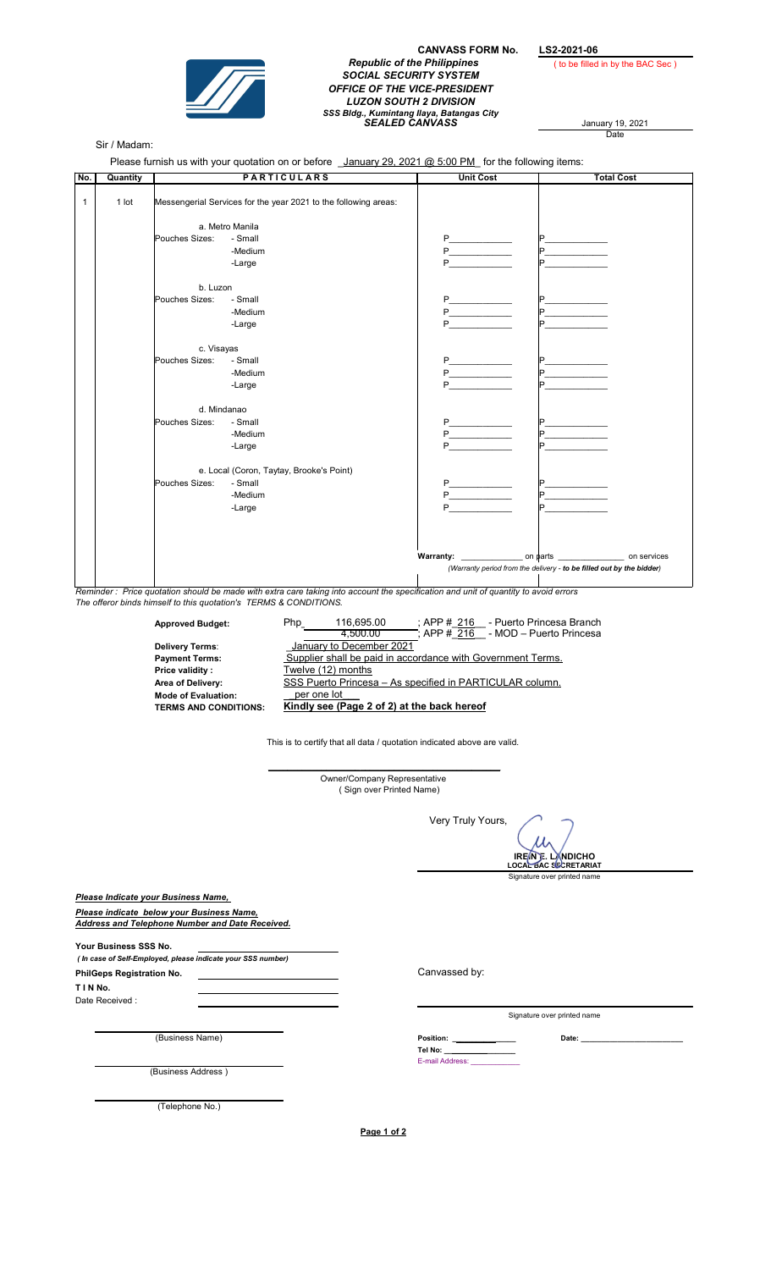

## CANVASS FORM No. LS2-2021-06 Republic of the Philippines ( to be filled in by the BAC Sec ) SOCIAL SECURITY SYSTEM OFFICE OF THE VICE-PRESIDENT LUZON SOUTH 2 DIVISION SSS Bldg., Kumintang Ilaya, Batangas City<br>SEALED CANVASS January 19, 2021

Date

## Sir / Madam:

Please furnish us with your quotation on or before <u>January 29, 2021 @ 5:00 PM</u> for the following items:

| No.          | Quantity | <b>PARTICULARS</b>                                                                 |                                          | <b>Unit Cost</b>         | <b>Total Cost</b>        |
|--------------|----------|------------------------------------------------------------------------------------|------------------------------------------|--------------------------|--------------------------|
| $\mathbf{1}$ | $1$ lot  | Messengerial Services for the year 2021 to the following areas:<br>a. Metro Manila |                                          |                          |                          |
|              |          |                                                                                    |                                          |                          |                          |
|              |          | Pouches Sizes:                                                                     | - Small                                  | $P_{\perp}$              |                          |
|              |          |                                                                                    | -Medium                                  | $P \qquad \qquad$        |                          |
|              |          |                                                                                    | -Large                                   | P                        | <b>Contract Contract</b> |
|              |          | b. Luzon                                                                           |                                          |                          |                          |
|              |          | Pouches Sizes:                                                                     | - Small                                  |                          |                          |
|              |          |                                                                                    | -Medium                                  | <b>P_____________</b>    |                          |
|              |          |                                                                                    | -Large                                   | P                        |                          |
|              |          | c. Visayas                                                                         |                                          |                          |                          |
|              |          | Pouches Sizes:                                                                     | - Small                                  | P                        |                          |
|              |          |                                                                                    | -Medium                                  | $P \qquad \qquad \qquad$ |                          |
|              |          |                                                                                    | -Large                                   | P.                       |                          |
|              |          | d. Mindanao                                                                        |                                          |                          |                          |
|              |          | Pouches Sizes:                                                                     | - Small                                  | $P_{\text{}}$            |                          |
|              |          |                                                                                    | -Medium                                  | P                        | $P$ and the set of $P$   |
|              |          |                                                                                    | -Large                                   | P                        | $\mathsf{P}$             |
|              |          |                                                                                    | e. Local (Coron, Taytay, Brooke's Point) |                          |                          |
|              |          | Pouches Sizes:                                                                     | - Small                                  |                          |                          |
|              |          |                                                                                    | -Medium                                  | $P \tightharpoonup$      |                          |
|              |          |                                                                                    | -Large                                   | $P \qquad \qquad$        |                          |
|              |          |                                                                                    |                                          |                          |                          |
|              |          |                                                                                    |                                          |                          |                          |
|              |          | (Warranty period from the delivery - to be filled out by the bidder)               |                                          |                          |                          |

Reminder : Price quotation should be made with extra care taking into account the specification and unit of quantity to avoid errors The offeror binds himself to this quotation's TERMS & CONDITIONS.

Approved Budget: Php\_\_\_\_\_\_\_\_\_\_\_\_\_\_\_\_\_\_\_\_ ; 116,695.00 4,500.00 Delivery Terms: <u>January to December 2021</u><br>
Payment Terms: Supplier shall be paid in accordance with Government Terms.<br>
Price validity: Twelve (12) months Price validity : Twelve (12) months<br>Area of Delivery: SSS Puerto Princes SSS Puerto Princesa - As specified in PARTICULAR column. Mode of Evaluation: \_per one lot\_\_\_ Kindly see (Page 2 of 2) at the back hereof ; APP #\_216\_\_ - Puerto Princesa Branch ; APP # 216 - MOD – Puerto Princesa January to December 2021

This is to certify that all data / quotation indicated above are valid.

\_\_\_\_\_\_\_\_\_\_\_\_\_\_\_\_\_\_\_\_\_\_\_\_\_\_\_\_\_\_\_\_\_\_\_\_\_\_\_\_\_\_\_\_\_\_\_\_ Owner/Company Representative ( Sign over Printed Name)

Very Truly Yours,

IRE IN E. LANDICHO<br>LOCAL BAC SECRETARIAT

Signature over printed name

Please Indicate your Business Name, Please indicate below your Business Name, Address and Telephone Number and Date Received.

Your Business SSS No. ( In case of Self-Employed, please indicate your SSS number) PhilGeps Registration No. Canvassed by: T I N No.

Date Received :

(Business Name) Date: \_\_\_\_\_\_\_\_\_\_\_\_\_\_\_\_\_\_\_\_\_\_\_\_\_

(Business Address )

(Telephone No.)

Page 1 of 2

E-mail Address:

Position: Tel No: \_\_\_\_\_\_\_\_\_\_\_\_\_\_\_\_\_\_

Signature over printed name